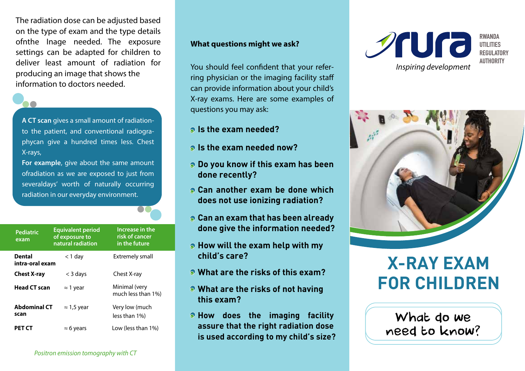The radiation dose can be adjusted based on the type of exam and the type details ofnthe Inage needed. The exposure settings can be adapted for children to deliver least amount of radiation for producing an image that shows the information to doctors needed.



A CT scan gives a small amount of radiationto the patient, and conventional radiographycan give a hundred times less. Chest X-rays,

For example, give about the same amount ofradiation as we are exposed to just from severaldays' worth of naturally occurring radiation in our everyday environment.

| <b>Pediatric</b><br>exam         | <b>Equivalent period</b><br>of exposure to<br>natural radiation | Increase in the<br>risk of cancer<br>in the future |
|----------------------------------|-----------------------------------------------------------------|----------------------------------------------------|
| <b>Dental</b><br>intra-oral exam | $<$ 1 day                                                       | Extremely small                                    |
| <b>Chest X-ray</b>               | $<$ 3 days                                                      | Chest X-ray                                        |
| <b>Head CT scan</b>              | $\approx$ 1 year                                                | Minimal (very<br>much less than 1%)                |
| <b>Abdominal CT</b><br>scan      | $\approx$ 1,5 year                                              | Very low (much<br>less than 1%)                    |
| PET CT                           | $\approx$ 6 years                                               | Low (less than 1%)                                 |

# What questions might we ask?

You should feel confident that your referring physician or the imaging facility staff can provide information about your child's X-ray exams. Here are some examples of questions you may ask:

- **Is the exam needed?**
- **Is the exam needed now?**
- **Do you know if this exam has been done recently?**
- **Can another exam be done which does not use ionizing radiation?**
- **Can an exam that has been already done give the information needed?**
- **How will the exam help with my child's care?**
- **What are the risks of this exam?**
- **What are the risks of not having this exam?**
- **How does the imaging facility assure that the right radiation dose is used according to my child's size?**





# **X-RAY EXAM FOR CHILDREN**

What do we need to know?